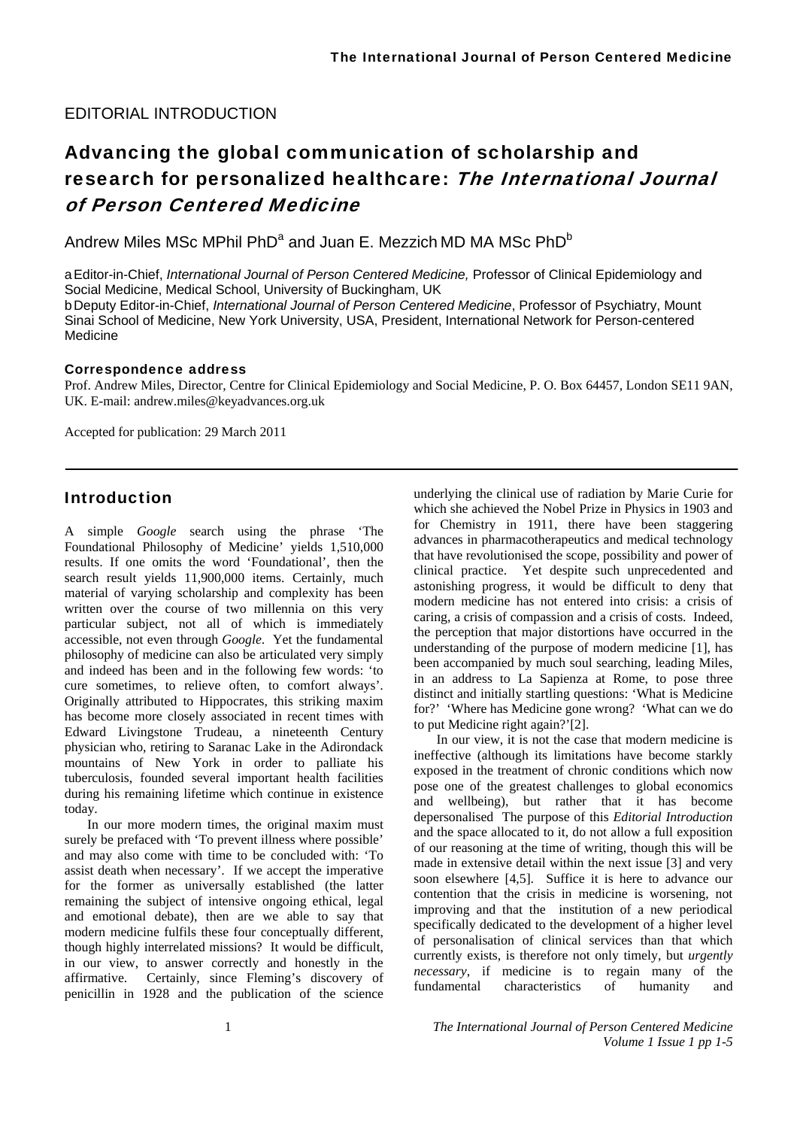#### EDITORIAL INTRODUCTION

# Advancing the global communication of scholarship and research for personalized healthcare: The International Journal of Person Centered Medicine

Andrew Miles MSc MPhil PhD $^{\rm a}$  and Juan E. Mezzich MD MA MSc PhD $^{\rm b}$ 

a Editor-in-Chief, *International Journal of Person Centered Medicine,* Professor of Clinical Epidemiology and Social Medicine, Medical School, University of Buckingham, UK

b Deputy Editor-in-Chief, *International Journal of Person Centered Medicine*, Professor of Psychiatry, Mount Sinai School of Medicine, New York University, USA, President, International Network for Person-centered Medicine

#### Correspondence address

Prof. Andrew Miles, Director, Centre for Clinical Epidemiology and Social Medicine, P. O. Box 64457, London SE11 9AN, UK. E-mail: andrew.miles@keyadvances.org.uk

Accepted for publication: 29 March 2011

#### **Introduction**

A simple *Google* search using the phrase 'The Foundational Philosophy of Medicine' yields 1,510,000 results. If one omits the word 'Foundational', then the search result yields 11,900,000 items. Certainly, much material of varying scholarship and complexity has been written over the course of two millennia on this very particular subject, not all of which is immediately accessible, not even through *Google*. Yet the fundamental philosophy of medicine can also be articulated very simply and indeed has been and in the following few words: 'to cure sometimes, to relieve often, to comfort always'. Originally attributed to Hippocrates, this striking maxim has become more closely associated in recent times with Edward Livingstone Trudeau, a nineteenth Century physician who, retiring to Saranac Lake in the Adirondack mountains of New York in order to palliate his tuberculosis, founded several important health facilities during his remaining lifetime which continue in existence today.

In our more modern times, the original maxim must surely be prefaced with 'To prevent illness where possible' and may also come with time to be concluded with: 'To assist death when necessary'. If we accept the imperative for the former as universally established (the latter remaining the subject of intensive ongoing ethical, legal and emotional debate), then are we able to say that modern medicine fulfils these four conceptually different, though highly interrelated missions? It would be difficult, in our view, to answer correctly and honestly in the affirmative. Certainly, since Fleming's discovery of penicillin in 1928 and the publication of the science

underlying the clinical use of radiation by Marie Curie for which she achieved the Nobel Prize in Physics in 1903 and for Chemistry in 1911, there have been staggering advances in pharmacotherapeutics and medical technology that have revolutionised the scope, possibility and power of clinical practice. Yet despite such unprecedented and astonishing progress, it would be difficult to deny that modern medicine has not entered into crisis: a crisis of caring, a crisis of compassion and a crisis of costs. Indeed, the perception that major distortions have occurred in the understanding of the purpose of modern medicine [1], has been accompanied by much soul searching, leading Miles, in an address to La Sapienza at Rome, to pose three distinct and initially startling questions: 'What is Medicine for?' 'Where has Medicine gone wrong? 'What can we do to put Medicine right again?'[2].

In our view, it is not the case that modern medicine is ineffective (although its limitations have become starkly exposed in the treatment of chronic conditions which now pose one of the greatest challenges to global economics and wellbeing), but rather that it has become depersonalised The purpose of this *Editorial Introduction* and the space allocated to it, do not allow a full exposition of our reasoning at the time of writing, though this will be made in extensive detail within the next issue [3] and very soon elsewhere [4,5]. Suffice it is here to advance our contention that the crisis in medicine is worsening, not improving and that the institution of a new periodical specifically dedicated to the development of a higher level of personalisation of clinical services than that which currently exists, is therefore not only timely, but *urgently necessary*, if medicine is to regain many of the fundamental characteristics of humanity and

1 *The International Journal of Person Centered Medicine Volume 1 Issue 1 pp 1-5*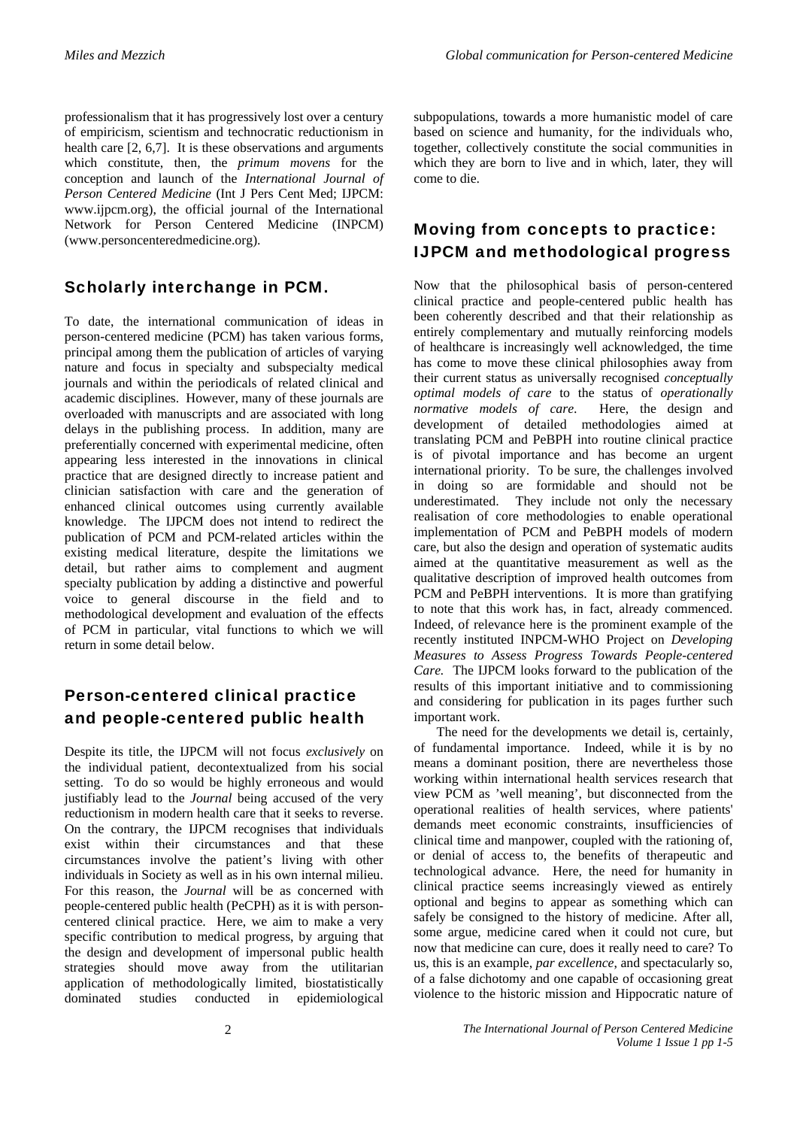professionalism that it has progressively lost over a century of empiricism, scientism and technocratic reductionism in health care [2, 6,7]. It is these observations and arguments which constitute, then, the *primum movens* for the conception and launch of the *International Journal of Person Centered Medicine* (Int J Pers Cent Med; IJPCM: www.ijpcm.org), the official journal of the International Network for Person Centered Medicine (INPCM) (www.personcenteredmedicine.org).

#### Scholarly interchange in PCM.

To date, the international communication of ideas in person-centered medicine (PCM) has taken various forms, principal among them the publication of articles of varying nature and focus in specialty and subspecialty medical journals and within the periodicals of related clinical and academic disciplines. However, many of these journals are overloaded with manuscripts and are associated with long delays in the publishing process. In addition, many are preferentially concerned with experimental medicine, often appearing less interested in the innovations in clinical practice that are designed directly to increase patient and clinician satisfaction with care and the generation of enhanced clinical outcomes using currently available knowledge. The IJPCM does not intend to redirect the publication of PCM and PCM-related articles within the existing medical literature, despite the limitations we detail, but rather aims to complement and augment specialty publication by adding a distinctive and powerful voice to general discourse in the field and to methodological development and evaluation of the effects of PCM in particular, vital functions to which we will return in some detail below.

## Person-centered clinical practice and people-centered public health

Despite its title, the IJPCM will not focus *exclusively* on the individual patient, decontextualized from his social setting. To do so would be highly erroneous and would justifiably lead to the *Journal* being accused of the very reductionism in modern health care that it seeks to reverse. On the contrary, the IJPCM recognises that individuals exist within their circumstances and that these circumstances involve the patient's living with other individuals in Society as well as in his own internal milieu. For this reason, the *Journal* will be as concerned with people-centered public health (PeCPH) as it is with personcentered clinical practice. Here, we aim to make a very specific contribution to medical progress, by arguing that the design and development of impersonal public health strategies should move away from the utilitarian application of methodologically limited, biostatistically dominated studies conducted in epidemiological

subpopulations, towards a more humanistic model of care based on science and humanity, for the individuals who, together, collectively constitute the social communities in which they are born to live and in which, later, they will come to die.

## Moving from concepts to practice: IJPCM and methodological progress

Now that the philosophical basis of person-centered clinical practice and people-centered public health has been coherently described and that their relationship as entirely complementary and mutually reinforcing models of healthcare is increasingly well acknowledged, the time has come to move these clinical philosophies away from their current status as universally recognised *conceptually optimal models of care* to the status of *operationally normative models of care*. Here, the design and development of detailed methodologies aimed at translating PCM and PeBPH into routine clinical practice is of pivotal importance and has become an urgent international priority. To be sure, the challenges involved in doing so are formidable and should not be underestimated. They include not only the necessary realisation of core methodologies to enable operational implementation of PCM and PeBPH models of modern care, but also the design and operation of systematic audits aimed at the quantitative measurement as well as the qualitative description of improved health outcomes from PCM and PeBPH interventions. It is more than gratifying to note that this work has, in fact, already commenced. Indeed, of relevance here is the prominent example of the recently instituted INPCM-WHO Project on *Developing Measures to Assess Progress Towards People-centered Care.* The IJPCM looks forward to the publication of the results of this important initiative and to commissioning and considering for publication in its pages further such important work.

The need for the developments we detail is, certainly, of fundamental importance. Indeed, while it is by no means a dominant position, there are nevertheless those working within international health services research that view PCM as 'well meaning', but disconnected from the operational realities of health services, where patients' demands meet economic constraints, insufficiencies of clinical time and manpower, coupled with the rationing of, or denial of access to, the benefits of therapeutic and technological advance. Here, the need for humanity in clinical practice seems increasingly viewed as entirely optional and begins to appear as something which can safely be consigned to the history of medicine. After all, some argue, medicine cared when it could not cure, but now that medicine can cure, does it really need to care? To us, this is an example, *par excellence*, and spectacularly so, of a false dichotomy and one capable of occasioning great violence to the historic mission and Hippocratic nature of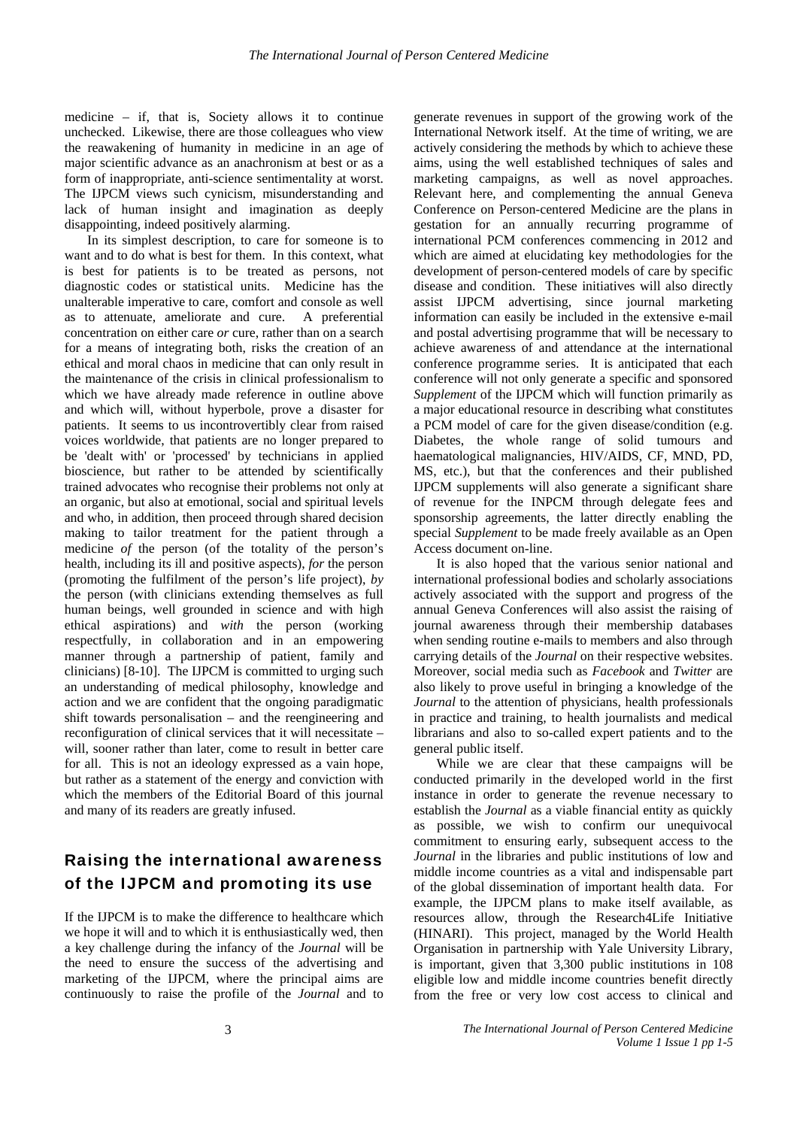medicine – if, that is, Society allows it to continue unchecked. Likewise, there are those colleagues who view the reawakening of humanity in medicine in an age of major scientific advance as an anachronism at best or as a form of inappropriate, anti-science sentimentality at worst. The IJPCM views such cynicism, misunderstanding and lack of human insight and imagination as deeply disappointing, indeed positively alarming.

In its simplest description, to care for someone is to want and to do what is best for them. In this context, what is best for patients is to be treated as persons, not diagnostic codes or statistical units. Medicine has the unalterable imperative to care, comfort and console as well as to attenuate, ameliorate and cure. A preferential concentration on either care *or* cure, rather than on a search for a means of integrating both, risks the creation of an ethical and moral chaos in medicine that can only result in the maintenance of the crisis in clinical professionalism to which we have already made reference in outline above and which will, without hyperbole, prove a disaster for patients. It seems to us incontrovertibly clear from raised voices worldwide, that patients are no longer prepared to be 'dealt with' or 'processed' by technicians in applied bioscience, but rather to be attended by scientifically trained advocates who recognise their problems not only at an organic, but also at emotional, social and spiritual levels and who, in addition, then proceed through shared decision making to tailor treatment for the patient through a medicine *of* the person (of the totality of the person's health, including its ill and positive aspects), *for* the person (promoting the fulfilment of the person's life project), *by* the person (with clinicians extending themselves as full human beings, well grounded in science and with high ethical aspirations) and *with* the person (working respectfully, in collaboration and in an empowering manner through a partnership of patient, family and clinicians) [8-10]. The IJPCM is committed to urging such an understanding of medical philosophy, knowledge and action and we are confident that the ongoing paradigmatic shift towards personalisation – and the reengineering and reconfiguration of clinical services that it will necessitate – will, sooner rather than later, come to result in better care for all. This is not an ideology expressed as a vain hope, but rather as a statement of the energy and conviction with which the members of the Editorial Board of this journal and many of its readers are greatly infused.

## Raising the international awareness of the IJPCM and promoting its use

If the IJPCM is to make the difference to healthcare which we hope it will and to which it is enthusiastically wed, then a key challenge during the infancy of the *Journal* will be the need to ensure the success of the advertising and marketing of the IJPCM, where the principal aims are continuously to raise the profile of the *Journal* and to generate revenues in support of the growing work of the International Network itself. At the time of writing, we are actively considering the methods by which to achieve these aims, using the well established techniques of sales and marketing campaigns, as well as novel approaches. Relevant here, and complementing the annual Geneva Conference on Person-centered Medicine are the plans in gestation for an annually recurring programme of international PCM conferences commencing in 2012 and which are aimed at elucidating key methodologies for the development of person-centered models of care by specific disease and condition. These initiatives will also directly assist IJPCM advertising, since journal marketing information can easily be included in the extensive e-mail and postal advertising programme that will be necessary to achieve awareness of and attendance at the international conference programme series. It is anticipated that each conference will not only generate a specific and sponsored *Supplement* of the IJPCM which will function primarily as a major educational resource in describing what constitutes a PCM model of care for the given disease/condition (e.g. Diabetes, the whole range of solid tumours and haematological malignancies, HIV/AIDS, CF, MND, PD, MS, etc.), but that the conferences and their published IJPCM supplements will also generate a significant share of revenue for the INPCM through delegate fees and sponsorship agreements, the latter directly enabling the special *Supplement* to be made freely available as an Open Access document on-line.

It is also hoped that the various senior national and international professional bodies and scholarly associations actively associated with the support and progress of the annual Geneva Conferences will also assist the raising of journal awareness through their membership databases when sending routine e-mails to members and also through carrying details of the *Journal* on their respective websites. Moreover, social media such as *Facebook* and *Twitter* are also likely to prove useful in bringing a knowledge of the *Journal* to the attention of physicians, health professionals in practice and training, to health journalists and medical librarians and also to so-called expert patients and to the general public itself.

While we are clear that these campaigns will be conducted primarily in the developed world in the first instance in order to generate the revenue necessary to establish the *Journal* as a viable financial entity as quickly as possible, we wish to confirm our unequivocal commitment to ensuring early, subsequent access to the *Journal* in the libraries and public institutions of low and middle income countries as a vital and indispensable part of the global dissemination of important health data. For example, the IJPCM plans to make itself available, as resources allow, through the Research4Life Initiative (HINARI). This project, managed by the World Health Organisation in partnership with Yale University Library, is important, given that 3,300 public institutions in 108 eligible low and middle income countries benefit directly from the free or very low cost access to clinical and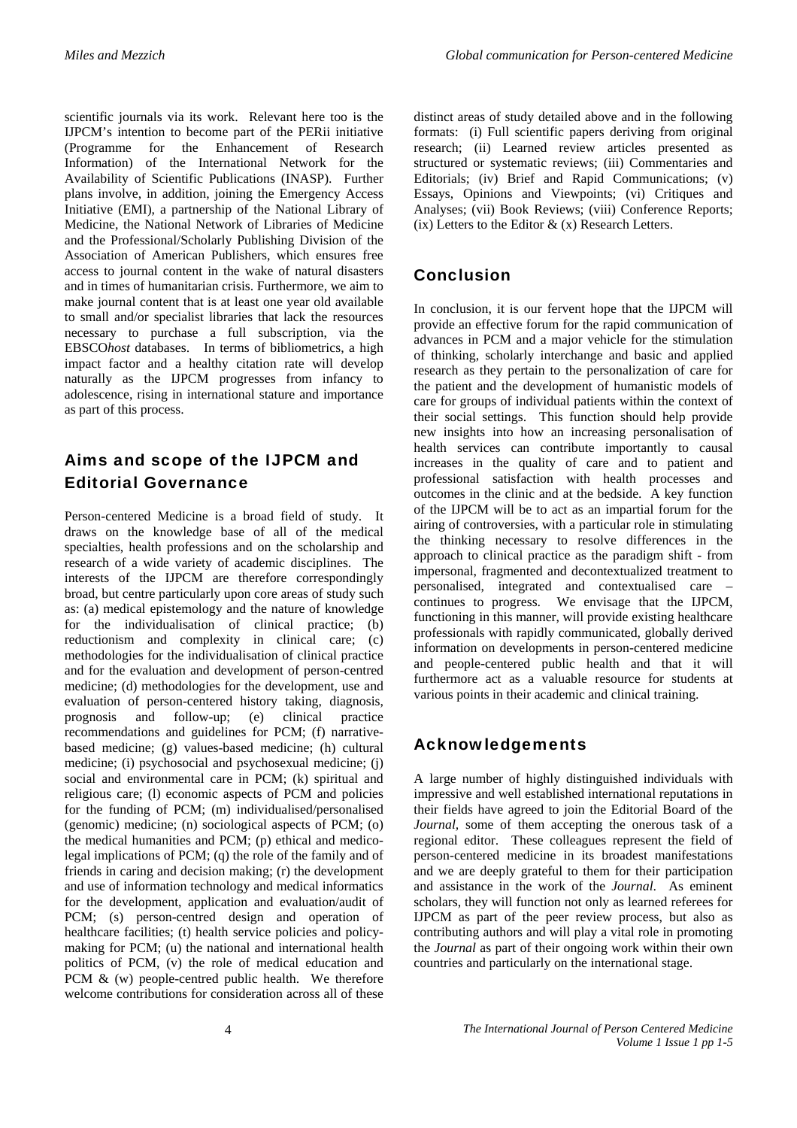scientific journals via its work. Relevant here too is the IJPCM's intention to become part of the PERii initiative (Programme for the Enhancement of Research Information) of the International Network for the Availability of Scientific Publications (INASP). Further plans involve, in addition, joining the Emergency Access Initiative (EMI), a partnership of the National Library of Medicine, the National Network of Libraries of Medicine and the Professional/Scholarly Publishing Division of the Association of American Publishers, which ensures free access to journal content in the wake of natural disasters and in times of humanitarian crisis. Furthermore, we aim to make journal content that is at least one year old available to small and/or specialist libraries that lack the resources necessary to purchase a full subscription, via the EBSCO*host* databases. In terms of bibliometrics, a high impact factor and a healthy citation rate will develop naturally as the IJPCM progresses from infancy to adolescence, rising in international stature and importance as part of this process.

#### Aims and scope of the IJPCM and Editorial Governance

Person-centered Medicine is a broad field of study. It draws on the knowledge base of all of the medical specialties, health professions and on the scholarship and research of a wide variety of academic disciplines. The interests of the IJPCM are therefore correspondingly broad, but centre particularly upon core areas of study such as: (a) medical epistemology and the nature of knowledge for the individualisation of clinical practice; (b) reductionism and complexity in clinical care; (c) methodologies for the individualisation of clinical practice and for the evaluation and development of person-centred medicine; (d) methodologies for the development, use and evaluation of person-centered history taking, diagnosis, prognosis and follow-up; (e) clinical practice recommendations and guidelines for PCM; (f) narrativebased medicine; (g) values-based medicine; (h) cultural medicine; (i) psychosocial and psychosexual medicine; (j) social and environmental care in PCM; (k) spiritual and religious care; (l) economic aspects of PCM and policies for the funding of PCM; (m) individualised/personalised (genomic) medicine; (n) sociological aspects of PCM; (o) the medical humanities and PCM; (p) ethical and medicolegal implications of PCM; (q) the role of the family and of friends in caring and decision making; (r) the development and use of information technology and medical informatics for the development, application and evaluation/audit of PCM; (s) person-centred design and operation of healthcare facilities; (t) health service policies and policymaking for PCM; (u) the national and international health politics of PCM, (v) the role of medical education and PCM & (w) people-centred public health. We therefore welcome contributions for consideration across all of these

distinct areas of study detailed above and in the following formats: (i) Full scientific papers deriving from original research; (ii) Learned review articles presented as structured or systematic reviews; (iii) Commentaries and Editorials; (iv) Brief and Rapid Communications; (v) Essays, Opinions and Viewpoints; (vi) Critiques and Analyses; (vii) Book Reviews; (viii) Conference Reports; (ix) Letters to the Editor  $\&$  (x) Research Letters.

## Conclusion

In conclusion, it is our fervent hope that the IJPCM will provide an effective forum for the rapid communication of advances in PCM and a major vehicle for the stimulation of thinking, scholarly interchange and basic and applied research as they pertain to the personalization of care for the patient and the development of humanistic models of care for groups of individual patients within the context of their social settings. This function should help provide new insights into how an increasing personalisation of health services can contribute importantly to causal increases in the quality of care and to patient and professional satisfaction with health processes and outcomes in the clinic and at the bedside. A key function of the IJPCM will be to act as an impartial forum for the airing of controversies, with a particular role in stimulating the thinking necessary to resolve differences in the approach to clinical practice as the paradigm shift - from impersonal, fragmented and decontextualized treatment to personalised, integrated and contextualised care – continues to progress. We envisage that the IJPCM, functioning in this manner, will provide existing healthcare professionals with rapidly communicated, globally derived information on developments in person-centered medicine and people-centered public health and that it will furthermore act as a valuable resource for students at various points in their academic and clinical training.

# Acknowledgements

A large number of highly distinguished individuals with impressive and well established international reputations in their fields have agreed to join the Editorial Board of the *Journal,* some of them accepting the onerous task of a regional editor. These colleagues represent the field of person-centered medicine in its broadest manifestations and we are deeply grateful to them for their participation and assistance in the work of the *Journal*. As eminent scholars, they will function not only as learned referees for IJPCM as part of the peer review process, but also as contributing authors and will play a vital role in promoting the *Journal* as part of their ongoing work within their own countries and particularly on the international stage.